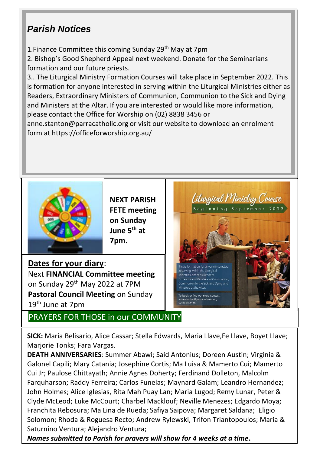## *Parish Notices*

1. Finance Committee this coming Sunday 29<sup>th</sup> May at 7pm

2. Bishop's Good Shepherd Appeal next weekend. Donate for the Seminarians formation and our future priests.

3.. The Liturgical Ministry Formation Courses will take place in September 2022. This is formation for anyone interested in serving within the Liturgical Ministries either as Readers, Extraordinary Ministers of Communion, Communion to the Sick and Dying and Ministers at the Altar. If you are interested or would like more information, please contact the Office for Worship on (02) 8838 3456 or [anne.stanton@parracatholic.org](file:///C:/Users/DeaconRoderickPirott/Documents/Bulletins/anne.stanton@parracatholic.org) or visit our website to download an enrolment form at<https://officeforworship.org.au/>



**NEXT PARISH FETE meeting on Sunday June 5th at 7pm.** 

**Dates for your diary**: Next **FINANCIAL Committee meeting** on Sunday 29th May 2022 at 7PM **Pastoral Council Meeting** on Sunday 19th June at 7pm

PRAYERS FOR THOSE in our COMMUNITY



**SICK:** Maria Belisario, Alice Cassar; Stella Edwards, Maria Llave,Fe Llave, Boyet Llave; Marjorie Tonks; Fara Vargas.

**DEATH ANNIVERSARIES**: Summer Abawi; Said Antonius; Doreen Austin; Virginia & Galonel Capili; Mary Catania; Josephine Cortis; Ma Luisa & Mamerto Cui; Mamerto Cui Jr; Paulose Chittayath; Annie Agnes Doherty; Ferdinand Dolleton, Malcolm Farquharson; Raddy Ferreira; Carlos Funelas; Maynard Galam; Leandro Hernandez; John Holmes; Alice Iglesias, Rita Mah Puay Lan; Maria Lugod; Remy Lunar, Peter & Clyde McLeod; Luke McCourt; Charbel Macklouf; Neville Menezes; Edgardo Moya; Franchita Rebosura; Ma Lina de Rueda; Safiya Saipova; Margaret Saldana; Eligio Solomon; Rhoda & Roguesa Recto; Andrew Rylewski, Trifon Triantopoulos; Maria & Saturnino Ventura; Alejandro Ventura;

*Names submitted to Parish for prayers will show for 4 weeks at a time***.**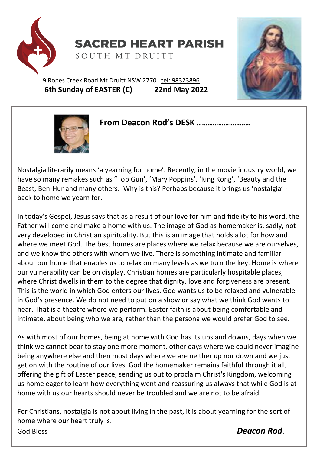

**SACRED HEART PARISH** 

SOUTH MT DRUITT

9 Ropes Creek Road Mt Druitt NSW 2770 tel: [98323896](tel:98323896) **6th Sunday of EASTER (C) 22nd May 2022**





#### Ff **From Deacon Rod's DESK …………………………**

Nostalgia literarily means 'a yearning for home'. Recently, in the movie industry world, we have so many remakes such as "Top Gun', 'Mary Poppins', 'King Kong', 'Beauty and the Beast, Ben-Hur and many others. Why is this? Perhaps because it brings us 'nostalgia' back to home we yearn for.

In today's Gospel, Jesus says that as a result of our love for him and fidelity to his word, the Father will come and make a home with us. The image of God as homemaker is, sadly, not very developed in Christian spirituality. But this is an image that holds a lot for how and where we meet God. The best homes are places where we relax because we are ourselves, and we know the others with whom we live. There is something intimate and familiar about our home that enables us to relax on many levels as we turn the key. Home is where our vulnerability can be on display. Christian homes are particularly hospitable places, where Christ dwells in them to the degree that dignity, love and forgiveness are present. This is the world in which God enters our lives. God wants us to be relaxed and vulnerable in God's presence. We do not need to put on a show or say what we think God wants to hear. That is a theatre where we perform. Easter faith is about being comfortable and intimate, about being who we are, rather than the persona we would prefer God to see.

As with most of our homes, being at home with God has its ups and downs, days when we think we cannot bear to stay one more moment, other days where we could never imagine being anywhere else and then most days where we are neither up nor down and we just get on with the routine of our lives. God the homemaker remains faithful through it all, offering the gift of Easter peace, sending us out to proclaim Christ's Kingdom, welcoming us home eager to learn how everything went and reassuring us always that while God is at home with us our hearts should never be troubled and we are not to be afraid.

For Christians, nostalgia is not about living in the past, it is about yearning for the sort of home where our heart truly is. God Bless *Deacon Rod*.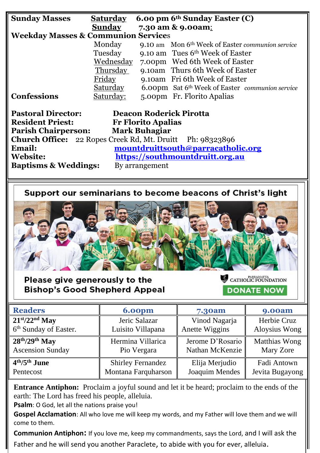| <b>Sunday Masses</b>                                             | Saturday                        | 6.00 pm 6 <sup>th</sup> Sunday Easter (C)                    |  |  |  |
|------------------------------------------------------------------|---------------------------------|--------------------------------------------------------------|--|--|--|
|                                                                  | <b>Sunday</b>                   | 7.30 am & 9.00am:                                            |  |  |  |
| <b>Weekday Masses &amp; Communion Services</b>                   |                                 |                                                              |  |  |  |
|                                                                  | Monday                          | 9.10 am Mon 6 <sup>th</sup> Week of Easter communion service |  |  |  |
|                                                                  | Tuesday                         | 9.10 am Tues $6th$ Week of Easter                            |  |  |  |
|                                                                  | Wednesday                       | 7.00pm Wed 6th Week of Easter                                |  |  |  |
|                                                                  | <b>Thursday</b>                 | 9.10am Thurs 6th Week of Easter                              |  |  |  |
|                                                                  | Friday                          | 9.10am Fri 6th Week of Easter                                |  |  |  |
|                                                                  | <u>Saturday</u>                 | 6.00pm Sat 6th Week of Easter communion service              |  |  |  |
| Confessions                                                      | Saturday:                       | 5.00pm Fr. Florito Apalias                                   |  |  |  |
|                                                                  |                                 |                                                              |  |  |  |
| <b>Pastoral Director:</b><br><b>Deacon Roderick Pirotta</b>      |                                 |                                                              |  |  |  |
| <b>Resident Priest:</b><br><b>Fr Florito Apalias</b>             |                                 |                                                              |  |  |  |
| <b>Parish Chairperson:</b><br><b>Mark Buhagiar</b>               |                                 |                                                              |  |  |  |
| <b>Church Office:</b> 22 Ropes Creek Rd, Mt. Druitt Ph: 98323896 |                                 |                                                              |  |  |  |
| mountdruittsouth@parracatholic.org<br>Email:                     |                                 |                                                              |  |  |  |
| <b>Website:</b>                                                  | https://southmountdruitt.org.au |                                                              |  |  |  |
| <b>Baptisms &amp; Weddings:</b>                                  | By arrangement                  |                                                              |  |  |  |

Support our seminarians to become beacons of Christ's light



Please give generously to the **Bishop's Good Shepherd Appeal**  CATHOLIC FOUNDATION **DONATE NOW** 

| <b>Readers</b>                    | <b>6.00pm</b>            | 7.30am           | <b>9.00am</b>   |
|-----------------------------------|--------------------------|------------------|-----------------|
| $21st/22nd$ May                   | Jeric Salazar            | Vinod Nagarja    | Herbie Cruz     |
| 6 <sup>th</sup> Sunday of Easter. | Luisito Villapana        | Anette Wiggins   | Aloysius Wong   |
| $28th/29th$ May                   | Hermina Villarica        | Jerome D'Rosario | Matthias Wong   |
| <b>Ascension Sunday</b>           | Pio Vergara              | Nathan McKenzie  | Mary Zore       |
| $4th/5th$ June                    | <b>Shirley Fernandez</b> | Elija Merjudio   | Fadi Antown     |
| Pentecost                         | Montana Farquharson      | Joaquim Mendes   | Jevita Bugayong |

**Entrance Antiphon:** Proclaim a joyful sound and let it be heard; proclaim to the ends of the earth: The Lord has freed his people, alleluia.

**Psalm**: O God, let all the nations praise you!

**Gospel Acclamation**: All who love me will keep my words, and my Father will love them and we will come to them.

**Communion Antiphon:** If you love me, keep my commandments, says the Lord, and I will ask the Father and he will send you another Paraclete, to abide with you for ever, alleluia.